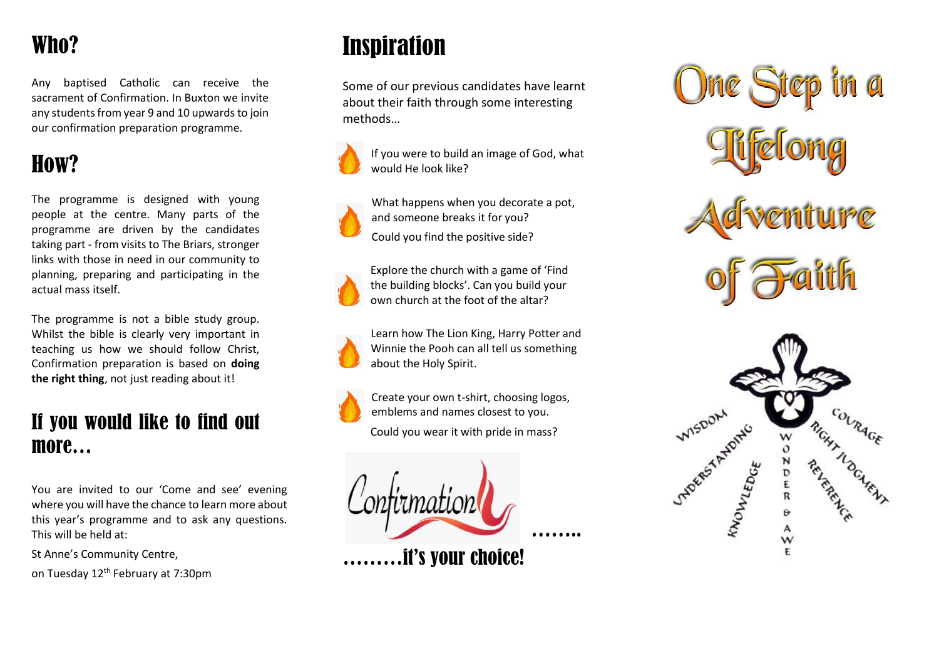## Who?

Any baptised Catholic can receive the sacrament of Confirmation. In Buxton we invite any students from year 9 and 10 upwards to join our confirmation preparation programme.

## How?

The programme is designed with young people at the centre. Many parts of the programme are driven by the candidates taking part - from visits to The Briars, stronger links with those in need in our community to planning, preparing and participating in the actual mass itself.

The programme is not a bible study group. Whilst the bible is clearly very important in teaching us how we should follow Christ, Confirmation preparation is based on **doing the right thing**, not just reading about it!

#### If you would like to find out more…

You are invited to our 'Come and see' evening where you will have the chance to learn more about this year's programme and to ask any questions. This will be held at:

St Anne's Community Centre,

on Tuesday 12th February at 7:30pm

# Inspiration

Some of our previous candidates have learnt about their faith through some interesting methods…



If you were to build an image of God, what would He look like?

What happens when you decorate a pot,

and someone breaks it for you? Could you find the positive side?





Explore the church with a game of 'Find the building blocks'. Can you build your own church at the foot of the altar?



Learn how The Lion King, Harry Potter and Winnie the Pooh can all tell us something about the Holy Spirit.



Create your own t-shirt, choosing logos, emblems and names closest to you. Could you wear it with pride in mass?



………it's your choice!